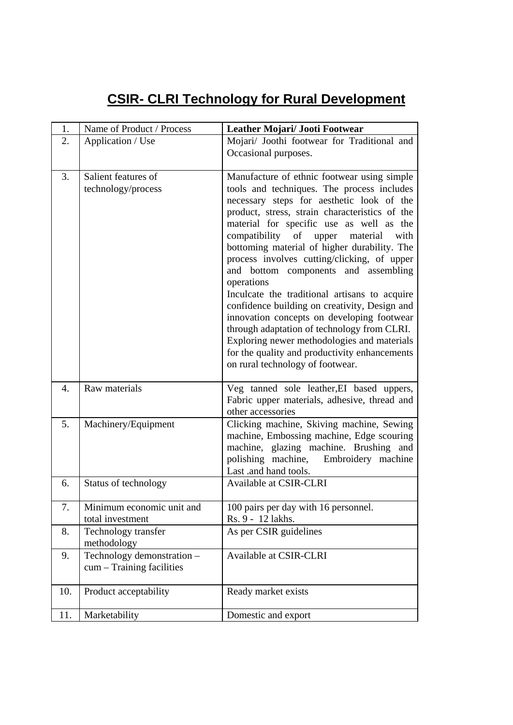## **CSIR- CLRI Technology for Rural Development**

| 1.  | Name of Product / Process                               | Leather Mojari/ Jooti Footwear                                                                                                                                                                                                                                                                                                                                                                                                                                                                                                                                                                                                                                                                                                                                                   |
|-----|---------------------------------------------------------|----------------------------------------------------------------------------------------------------------------------------------------------------------------------------------------------------------------------------------------------------------------------------------------------------------------------------------------------------------------------------------------------------------------------------------------------------------------------------------------------------------------------------------------------------------------------------------------------------------------------------------------------------------------------------------------------------------------------------------------------------------------------------------|
| 2.  | Application / Use                                       | Mojari/ Joothi footwear for Traditional and<br>Occasional purposes.                                                                                                                                                                                                                                                                                                                                                                                                                                                                                                                                                                                                                                                                                                              |
| 3.  | Salient features of<br>technology/process               | Manufacture of ethnic footwear using simple<br>tools and techniques. The process includes<br>necessary steps for aesthetic look of the<br>product, stress, strain characteristics of the<br>material for specific use as well as the<br>compatibility<br>of<br>upper<br>material<br>with<br>bottoming material of higher durability. The<br>process involves cutting/clicking, of upper<br>and bottom components and assembling<br>operations<br>Inculcate the traditional artisans to acquire<br>confidence building on creativity, Design and<br>innovation concepts on developing footwear<br>through adaptation of technology from CLRI.<br>Exploring newer methodologies and materials<br>for the quality and productivity enhancements<br>on rural technology of footwear. |
| 4.  | Raw materials                                           | Veg tanned sole leather, EI based uppers,<br>Fabric upper materials, adhesive, thread and<br>other accessories                                                                                                                                                                                                                                                                                                                                                                                                                                                                                                                                                                                                                                                                   |
| 5.  | Machinery/Equipment                                     | Clicking machine, Skiving machine, Sewing<br>machine, Embossing machine, Edge scouring<br>machine, glazing machine. Brushing and<br>polishing machine, Embroidery machine<br>Last .and hand tools.                                                                                                                                                                                                                                                                                                                                                                                                                                                                                                                                                                               |
| 6.  | Status of technology                                    | Available at CSIR-CLRI                                                                                                                                                                                                                                                                                                                                                                                                                                                                                                                                                                                                                                                                                                                                                           |
| 7.  | Minimum economic unit and<br>total investment           | 100 pairs per day with 16 personnel.<br>Rs. 9 - 12 lakhs.                                                                                                                                                                                                                                                                                                                                                                                                                                                                                                                                                                                                                                                                                                                        |
| 8.  | Technology transfer<br>methodology                      | As per CSIR guidelines                                                                                                                                                                                                                                                                                                                                                                                                                                                                                                                                                                                                                                                                                                                                                           |
| 9.  | Technology demonstration -<br>cum – Training facilities | Available at CSIR-CLRI                                                                                                                                                                                                                                                                                                                                                                                                                                                                                                                                                                                                                                                                                                                                                           |
| 10. | Product acceptability                                   | Ready market exists                                                                                                                                                                                                                                                                                                                                                                                                                                                                                                                                                                                                                                                                                                                                                              |
| 11. | Marketability                                           | Domestic and export                                                                                                                                                                                                                                                                                                                                                                                                                                                                                                                                                                                                                                                                                                                                                              |